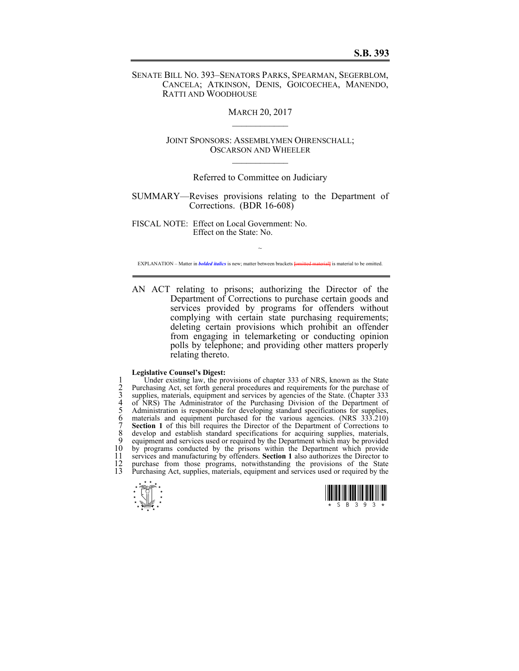SENATE BILL NO. 393–SENATORS PARKS, SPEARMAN, SEGERBLOM, CANCELA; ATKINSON, DENIS, GOICOECHEA, MANENDO, RATTI AND WOODHOUSE

**MARCH 20, 2017** 

JOINT SPONSORS: ASSEMBLYMEN OHRENSCHALL; OSCARSON AND WHEELER  $\mathcal{L}_\text{max}$ 

## Referred to Committee on Judiciary

SUMMARY—Revises provisions relating to the Department of Corrections. (BDR 16-608)

FISCAL NOTE: Effect on Local Government: No. Effect on the State: No.

~ EXPLANATION – Matter in *bolded italics* is new; matter between brackets **[**omitted material**]** is material to be omitted.

AN ACT relating to prisons; authorizing the Director of the Department of Corrections to purchase certain goods and services provided by programs for offenders without complying with certain state purchasing requirements; deleting certain provisions which prohibit an offender from engaging in telemarketing or conducting opinion polls by telephone; and providing other matters properly relating thereto.

## **Legislative Counsel's Digest:**

1 Under existing law, the provisions of chapter 333 of NRS, known as the State<br>
2 Purchasing Act, set forth general procedures and requirements for the purchase of<br>
3 supplies, materials, equipment and services by agencies Purchasing Act, set forth general procedures and requirements for the purchase of supplies, materials, equipment and services by agencies of the State. (Chapter 333 of NRS) The Administrator of the Purchasing Division of the Department of Administration is responsible for developing standard specifications for supplies, 6 materials and equipment purchased for the various agencies. (NRS 333.210) 7 **Section 1** of this bill requires the Director of the Department of Corrections to 8 develop and establish standard specifications for acquiring supplies, materials, equipment and services used or required by the Department which may be provided 9 equipment and services used or required by the Department which may be provided 10 by programs conducted by the prisons within the Department which provide  $10$  by programs conducted by the prisons within the Department which provide  $11$  services and manufacturing by offenders. **Section 1** also authorizes the Director to 11 services and manufacturing by offenders. **Section 1** also authorizes the Director to purchase from those programs, notwithstanding the provisions of the State 12 purchase from those programs, notwithstanding the provisions of the State<br>13 Purchasing Act sunplies materials equipment and services used or required by the Purchasing Act, supplies, materials, equipment and services used or required by the



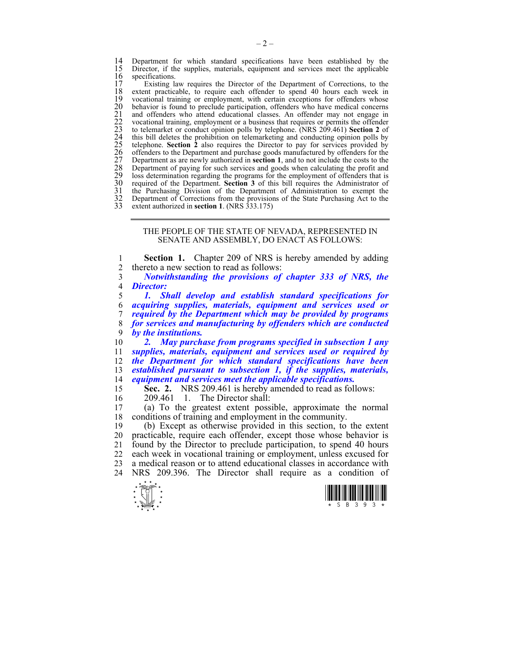14 Department for which standard specifications have been established by the 15 Director, if the supplies, materials, equipment and services meet the applicable 15 Director, if the supplies, materials, equipment and services meet the applicable 16 specifications.<br>17 Existing la

17 Existing law requires the Director of the Department of Corrections, to the extent practicable, to require each offender to spend 40 hours each week in 18 extent practicable, to require each offender to spend 40 hours each week in 19 vocational training or employment, with certain exceptions for offenders whose<br>
20 behavior is found to preclude participation, offenders who have medical concerns<br>
21 and offenders who attend educational classes. An of behavior is found to preclude participation, offenders who have medical concerns 21 and offenders who attend educational classes. An offender may not engage in 22 vocational training, employment or a business that requires or permits the offender 23 to telemarket or conduct opinion polls by telephone. (NRS 209.461) **Section 2** of 24 this bill deletes the prohibition on telemarketing and conducting opinion polls by 25 telephone. **Section 2** also requires the Director to pay for services provided by 26 offenders to the Department and purchase goods manufactured by offenders for the 27 Department as are newly authorized in **section 1**, and to not include the costs to the Department of paying for such services and goods when calculating the profit and loss determination regarding the programs for the employment of offenders that is 30 required of the Department. **Section 3** of this bill requires the Administrator of 31 the Purchasing Division of the Department of Administration to exempt the 31 the Purchasing Division of the Department of Administration to exempt the<br>32 Department of Corrections from the provisions of the State Purchasing Act to the<br>33 extent authorized in **section 1**. (NRS 333.175) extent authorized in **section 1**. (NRS 333.175)

## THE PEOPLE OF THE STATE OF NEVADA, REPRESENTED IN SENATE AND ASSEMBLY, DO ENACT AS FOLLOWS:

1 **Section 1.** Chapter 209 of NRS is hereby amended by adding 2 thereto a new section to read as follows:<br>3 **Notwithstanding the provisions of** 

3 *Notwithstanding the provisions of chapter 333 of NRS, the*  4 *Director:* 

*1. Shall develop and establish standard specifications for acquiring supplies, materials, equipment and services used or required by the Department which may be provided by programs for services and manufacturing by offenders which are conducted by the institutions.* 

*2. May purchase from programs specified in subsection 1 any supplies, materials, equipment and services used or required by the Department for which standard specifications have been established pursuant to subsection 1, if the supplies, materials, equipment and services meet the applicable specifications.*  Sec. 2. NRS 209.461 is hereby amended to read as follows:

16 209.461 1. The Director shall:

17 (a) To the greatest extent possible, approximate the normal 18 conditions of training and employment in the community.

19 (b) Except as otherwise provided in this section, to the extent 20 practicable, require each offender, except those whose behavior is 21 found by the Director to preclude participation, to spend 40 hours 22 each week in vocational training or employment, unless excused for 23 a medical reason or to attend educational classes in accordance with 24 NRS 209.396. The Director shall require as a condition of



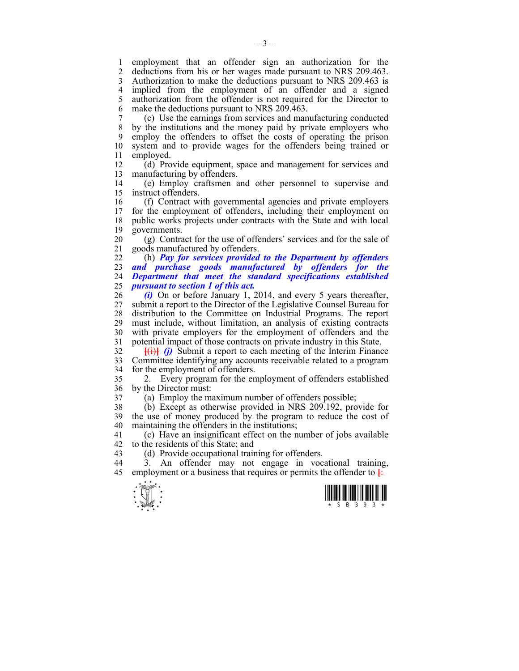1 employment that an offender sign an authorization for the<br>2 deductions from his or her wages made pursuant to NRS 209463 2 deductions from his or her wages made pursuant to NRS 209.463. 3 Authorization to make the deductions pursuant to NRS 209.463 is 4 implied from the employment of an offender and a signed 5 authorization from the offender is not required for the Director to 6 make the deductions pursuant to NRS 209.463.

7 (c) Use the earnings from services and manufacturing conducted 8 by the institutions and the money paid by private employers who 9 employ the offenders to offset the costs of operating the prison 10 system and to provide wages for the offenders being trained or 11 employed.

12 (d) Provide equipment, space and management for services and 13 manufacturing by offenders.

14 (e) Employ craftsmen and other personnel to supervise and 15 instruct offenders.

16 (f) Contract with governmental agencies and private employers for the employment of offenders, including their employment on 18 public works projects under contracts with the State and with local 19 governments.

20 (g) Contract for the use of offenders' services and for the sale of 21 goods manufactured by offenders.

22 (h) *Pay for services provided to the Department by offenders and purchase goods manufactured by offenders for the Department that meet the standard specifications established pursuant to section 1 of this act.* 

26 *(i)* On or before January 1, 2014, and every 5 years thereafter, 27 submit a report to the Director of the Legislative Counsel Bureau for 28 distribution to the Committee on Industrial Programs. The report 29 must include, without limitation, an analysis of existing contracts 30 with private employers for the employment of offenders and the 31 potential impact of those contracts on private industry in this State.

 $\frac{f(i)}{i}$  *(i)* Submit a report to each meeting of the Interim Finance 33 Committee identifying any accounts receivable related to a program 34 for the employment of offenders.

35 2. Every program for the employment of offenders established 36 by the Director must:

37 (a) Employ the maximum number of offenders possible;

38 (b) Except as otherwise provided in NRS 209.192, provide for 39 the use of money produced by the program to reduce the cost of 40 maintaining the offenders in the institutions;

41 (c) Have an insignificant effect on the number of jobs available 42 to the residents of this State; and

43 (d) Provide occupational training for offenders.

44 3. An offender may not engage in vocational training, 45 employment or a business that requires or permits the offender to  $\frac{1}{\epsilon}$ 



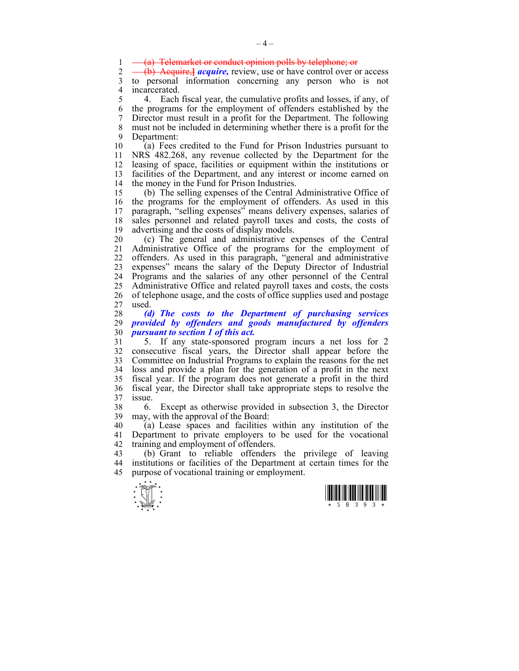1 (a) Telemarket or conduct opinion polls by telephone; or  $2 \longrightarrow$  (b) Acquire *acquire*, review use or have control over o

2 (b) Acquire,**]** *acquire,* review, use or have control over or access 3 to personal information concerning any person who is not 4 incarcerated.<br>5 4 Each

5 4. Each fiscal year, the cumulative profits and losses, if any, of 6 the programs for the employment of offenders established by the 7 Director must result in a profit for the Department. The following 8 must not be included in determining whether there is a profit for the 9 Department:

10 (a) Fees credited to the Fund for Prison Industries pursuant to 11 NRS 482.268, any revenue collected by the Department for the 12 leasing of space, facilities or equipment within the institutions or 13 facilities of the Department, and any interest or income earned on 14 the money in the Fund for Prison Industries.

15 (b) The selling expenses of the Central Administrative Office of 16 the programs for the employment of offenders. As used in this 17 paragraph, "selling expenses" means delivery expenses, salaries of 18 sales personnel and related payroll taxes and costs, the costs of 19 advertising and the costs of display models.

20 (c) The general and administrative expenses of the Central 21 Administrative Office of the programs for the employment of 22 offenders. As used in this paragraph, "general and administrative 23 expenses" means the salary of the Deputy Director of Industrial 24 Programs and the salaries of any other personnel of the Central 25 Administrative Office and related payroll taxes and costs, the costs 26 of telephone usage, and the costs of office supplies used and postage 27 used.

28 *(d) The costs to the Department of purchasing services*  29 *provided by offenders and goods manufactured by offenders*  30 *pursuant to section 1 of this act.* 

31 5. If any state-sponsored program incurs a net loss for 2 32 consecutive fiscal years, the Director shall appear before the 33 Committee on Industrial Programs to explain the reasons for the net 34 loss and provide a plan for the generation of a profit in the next 35 fiscal year. If the program does not generate a profit in the third 36 fiscal year, the Director shall take appropriate steps to resolve the 37 issue.

38 6. Except as otherwise provided in subsection 3, the Director 39 may, with the approval of the Board:

40 (a) Lease spaces and facilities within any institution of the 41 Department to private employers to be used for the vocational 42 training and employment of offenders.

43 (b) Grant to reliable offenders the privilege of leaving 44 institutions or facilities of the Department at certain times for the 45 purpose of vocational training or employment.



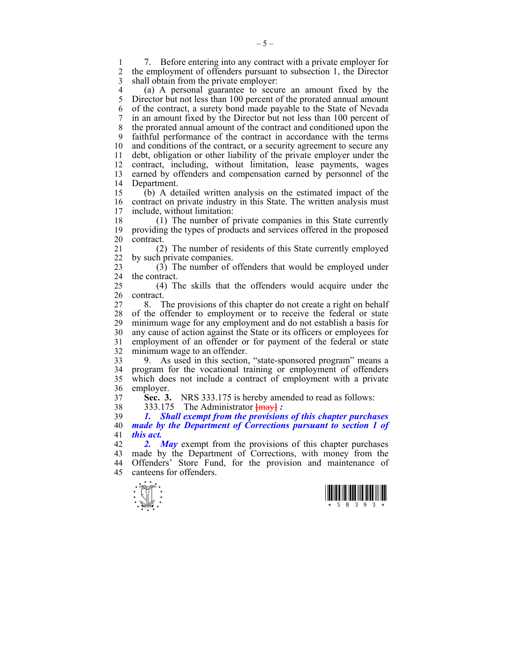1 7. Before entering into any contract with a private employer for 2 the employment of offenders pursuant to subsection 1, the Director 3 shall obtain from the private employer:

4 (a) A personal guarantee to secure an amount fixed by the 5 Director but not less than 100 percent of the prorated annual amount 6 of the contract, a surety bond made payable to the State of Nevada 7 in an amount fixed by the Director but not less than 100 percent of 8 the prorated annual amount of the contract and conditioned upon the 9 faithful performance of the contract in accordance with the terms 10 and conditions of the contract, or a security agreement to secure any 11 debt, obligation or other liability of the private employer under the 12 contract, including, without limitation, lease payments, wages 13 earned by offenders and compensation earned by personnel of the 14 Department.

15 (b) A detailed written analysis on the estimated impact of the 16 contract on private industry in this State. The written analysis must 17 include, without limitation: include, without limitation:

18 (1) The number of private companies in this State currently 19 providing the types of products and services offered in the proposed 20 contract.

21 (2) The number of residents of this State currently employed 22 by such private companies.

23 (3) The number of offenders that would be employed under 24 the contract.

25 (4) The skills that the offenders would acquire under the 26 contract.

27 8. The provisions of this chapter do not create a right on behalf 28 of the offender to employment or to receive the federal or state 29 minimum wage for any employment and do not establish a basis for 30 any cause of action against the State or its officers or employees for 31 employment of an offender or for payment of the federal or state 32 minimum wage to an offender.

33 9. As used in this section, "state-sponsored program" means a 34 program for the vocational training or employment of offenders 35 which does not include a contract of employment with a private 36 employer.

37 **Sec. 3.** NRS 333.175 is hereby amended to read as follows:

38 333.175 The Administrator **[**may**]** *:* 

39 *1. Shall exempt from the provisions of this chapter purchases*  40 *made by the Department of Corrections pursuant to section 1 of*  41 *this act.* 

42 *2. May* exempt from the provisions of this chapter purchases 43 made by the Department of Corrections, with money from the 44 Offenders' Store Fund, for the provision and maintenance of 45 canteens for offenders.